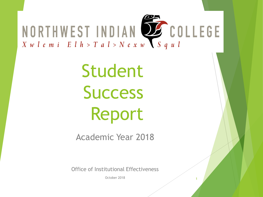

Student **Success** Report

Academic Year 2018

Office of Institutional Effectiveness

October 2018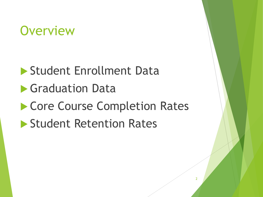## **Overview**

 Student Enrollment Data **Graduation Data** Core Course Completion Rates **Student Retention Rates**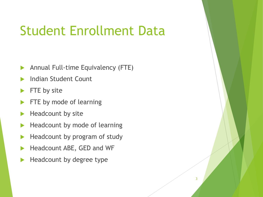### Student Enrollment Data

- **Annual Full-time Equivalency (FTE)**
- Indian Student Count
- FTE by site
- FTE by mode of learning
- $\blacktriangleright$  Headcount by site
- $\blacktriangleright$  Headcount by mode of learning
- Headcount by program of study
- Headcount ABE, GED and WF
- Headcount by degree type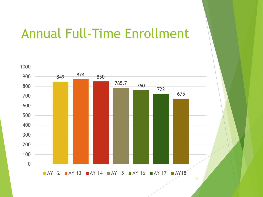### Annual Full-Time Enrollment

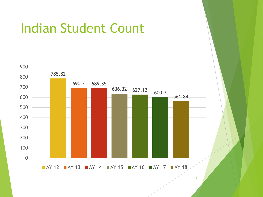

### Indian Student Count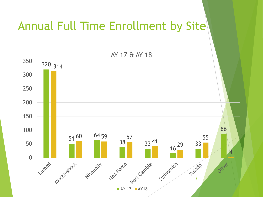### Annual Full Time Enrollment by Site

AY 17 & AY 18 350 320 314 300 250 200 150 86 100 64 59 57  $51^{60}$ 55 38 3341  $\frac{41}{16}$  29 50 33 16 4 0 Syrinomish Lummi's Anciencos Tubrit? Octries Niscually Nel Perce Port Gamble  $\blacksquare$  AY 17  $\blacksquare$  AY 18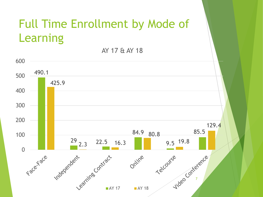### Full Time Enrollment by Mode of Learning

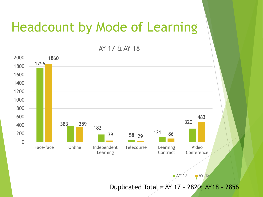### Headcount by Mode of Learning

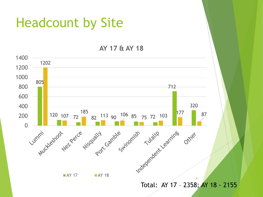### Headcount by Site

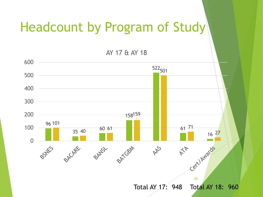## Headcount by Program of Study

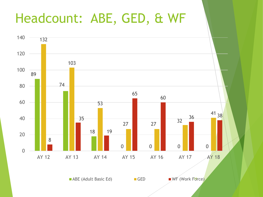## Headcount: ABE, GED, & WF

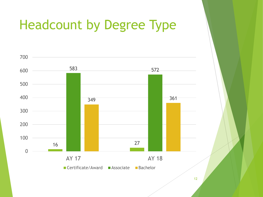# Headcount by Degree Type

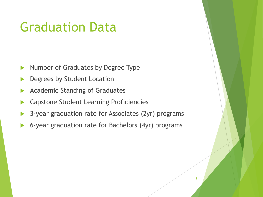## Graduation Data

- Number of Graduates by Degree Type
- Degrees by Student Location
- Academic Standing of Graduates
- Capstone Student Learning Proficiencies
- 3-year graduation rate for Associates (2yr) programs
- 6-year graduation rate for Bachelors (4yr) programs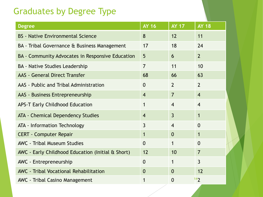#### Graduates by Degree Type

| <b>Degree</b>                                     | <b>AY 16</b>   | <b>AY 17</b>   | <b>AY 18</b>   |
|---------------------------------------------------|----------------|----------------|----------------|
| <b>BS</b> - Native Environmental Science          | 8              | 12             | 11             |
| BA - Tribal Governance & Business Management      | 17             | 18             | 24             |
| BA - Community Advocates in Responsive Education  | 5              | 6              | $\overline{2}$ |
| <b>BA - Native Studies Leadership</b>             | $\overline{7}$ | 11             | 10             |
| <b>AAS</b> - General Direct Transfer              | 68             | 66             | 63             |
| AAS - Public and Tribal Administration            | $\mathbf{0}$   | $\overline{2}$ | $\overline{2}$ |
| AAS - Business Entrepreneurship                   | $\overline{4}$ | $\overline{7}$ | $\overline{4}$ |
| <b>APS-T Early Childhood Education</b>            | 1              | $\overline{4}$ | $\overline{4}$ |
| <b>ATA - Chemical Dependency Studies</b>          | $\overline{4}$ | $\overline{3}$ | $\mathbf 1$    |
| ATA - Information Technology                      | $\overline{3}$ | $\overline{4}$ | $\overline{0}$ |
| <b>CERT - Computer Repair</b>                     | $\mathbf 1$    | $\overline{0}$ | $\mathbf 1$    |
| <b>AWC</b> - Tribal Museum Studies                | $\mathbf{0}$   | 1              | $\overline{0}$ |
| AWC - Early Childhood Education (Initial & Short) | 12             | 10             | $\overline{7}$ |
| AWC - Entrepreneurship                            | $\mathbf{0}$   | 1              | $\overline{3}$ |
| <b>AWC</b> - Tribal Vocational Rehabilitation     | $\mathbf{0}$   | $\Omega$       | 12             |
| <b>AWC</b> - Tribal Casino Management             | 1              | $\mathbf{0}$   | 142            |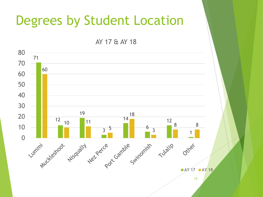### Degrees by Student Location

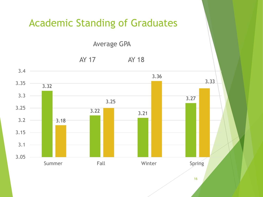#### Academic Standing of Graduates

Average GPA

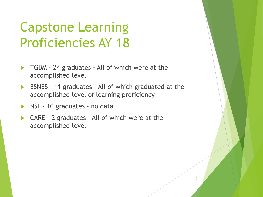# Capstone Learning Proficiencies AY 18

- ▶ TGBM 24 graduates All of which were at the accomplished level
- BSNES 11 graduates All of which graduated at the accomplished level of learning proficiency
- NSL 10 graduates no data
- CARE 2 graduates All of which were at the accomplished level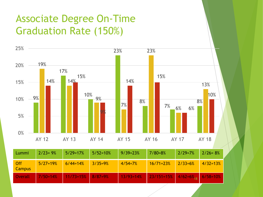### Associate Degree On-Time Graduation Rate (150%)



| Lummi                       | $2/23 = 9%$  | $5/29 = 17%$           | $5/52 = 10%$ | $9/39=23%$    | $7/80=8%$                                                           | $2/29=7%$ | $2/26 = 8%$  |
|-----------------------------|--------------|------------------------|--------------|---------------|---------------------------------------------------------------------|-----------|--------------|
| <b>Off</b><br><b>Campus</b> | $5/27 = 19%$ | $6/44=14%$             | $3/35 = 9\%$ | $4/54=7%$     | $16/71 = 23%$                                                       | $2/33=6%$ | $4/32 = 13%$ |
| Overall                     | $7/50 = 14%$ | $11/73 = 15\%$ 8/87=9% |              | $13/93 = 14%$ | $\frac{1}{23/151}$ =15% $\frac{1}{4/62}$ =6% <sub>18</sub> 6/58=10% |           |              |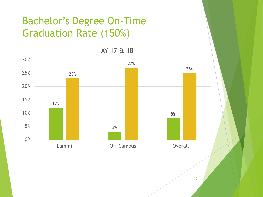### Bachelor's Degree On-Time Graduation Rate (150%)

AY 17 & 18

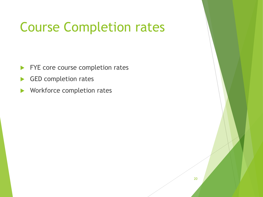# Course Completion rates

- FYE core course completion rates
- GED completion rates
- **Norkforce completion rates**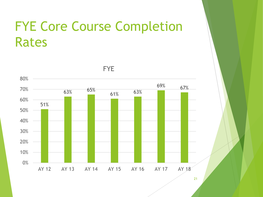## FYE Core Course Completion Rates



FYE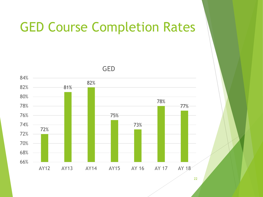### GED Course Completion Rates

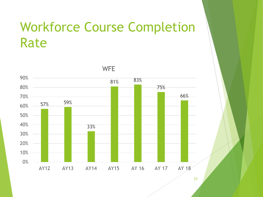## Workforce Course Completion Rate



WFE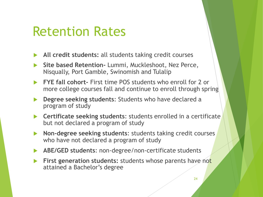### Retention Rates

- **All credit students:** all students taking credit courses
- **Site based Retention-** Lummi, Muckleshoot, Nez Perce, Nisqually, Port Gamble, Swinomish and Tulalip
- **FYE fall cohort-** First time POS students who enroll for 2 or more college courses fall and continue to enroll through spring
- **Degree seeking students**: Students who have declared a program of study
- **Certificate seeking students**: students enrolled in a certificate but not declared a program of study
- **Non-degree seeking students**: students taking credit courses who have not declared a program of study
- **ABE/GED students**: non-degree/non-certificate students
- **First generation students:** students whose parents have not attained a Bachelor's degree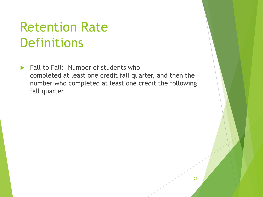## Retention Rate **Definitions**

 $\blacktriangleright$  Fall to Fall: Number of students who completed at least one credit fall quarter, and then the number who completed at least one credit the following fall quarter.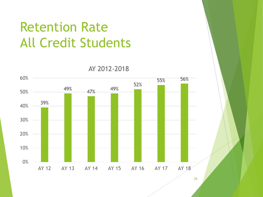# Retention Rate All Credit Students

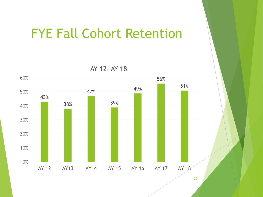### FYE Fall Cohort Retention

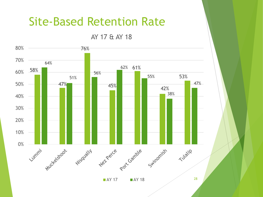### Site-Based Retention Rate

AY 17 & AY 18



 $\blacksquare$  AY 17  $\blacksquare$  AY 18 28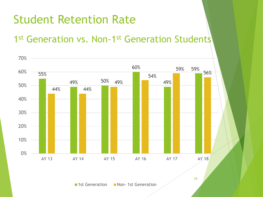### Student Retention Rate

### 1<sup>st</sup> Generation vs. Non-1<sup>st</sup> Generation Students

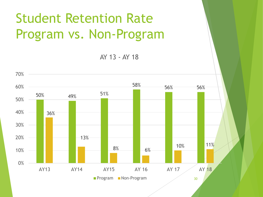# Student Retention Rate Program vs. Non-Program

AY 13 - AY 18